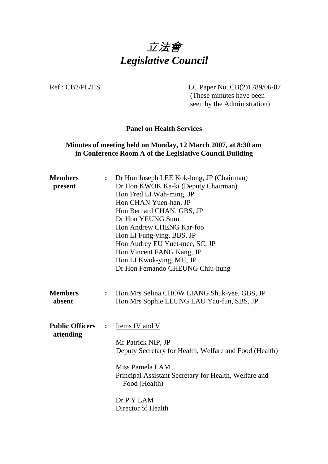

Ref : CB2/PL/HS LC Paper No. CB(2)1789/06-07

 (These minutes have been seen by the Administration)

#### **Panel on Health Services**

### **Minutes of meeting held on Monday, 12 March 2007, at 8:30 am in Conference Room A of the Legislative Council Building**

| <b>Members</b><br>present           | $\ddot{\cdot}$ | Dr Hon Joseph LEE Kok-long, JP (Chairman)<br>Dr Hon KWOK Ka-ki (Deputy Chairman)<br>Hon Fred LI Wah-ming, JP<br>Hon CHAN Yuen-han, JP<br>Hon Bernard CHAN, GBS, JP<br>Dr Hon YEUNG Sum<br>Hon Andrew CHENG Kar-foo<br>Hon LI Fung-ying, BBS, JP<br>Hon Audrey EU Yuet-mee, SC, JP<br>Hon Vincent FANG Kang, JP |
|-------------------------------------|----------------|----------------------------------------------------------------------------------------------------------------------------------------------------------------------------------------------------------------------------------------------------------------------------------------------------------------|
|                                     |                | Hon LI Kwok-ying, MH, JP<br>Dr Hon Fernando CHEUNG Chiu-hung                                                                                                                                                                                                                                                   |
| <b>Members</b><br>absent            | $\ddot{\cdot}$ | Hon Mrs Selina CHOW LIANG Shuk-yee, GBS, JP<br>Hon Mrs Sophie LEUNG LAU Yau-fun, SBS, JP                                                                                                                                                                                                                       |
| <b>Public Officers</b><br>attending | $\ddot{\cdot}$ | Items IV and V<br>Mr Patrick NIP, JP<br>Deputy Secretary for Health, Welfare and Food (Health)<br>Miss Pamela LAM<br>Principal Assistant Secretary for Health, Welfare and<br>Food (Health)<br>Dr P Y LAM<br>Director of Health                                                                                |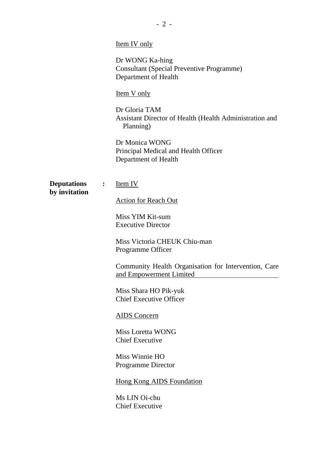|                                     |   | <b>Item IV</b> only                                                                         |  |
|-------------------------------------|---|---------------------------------------------------------------------------------------------|--|
|                                     |   | Dr WONG Ka-hing<br><b>Consultant (Special Preventive Programme)</b><br>Department of Health |  |
|                                     |   | <u>Item V only</u>                                                                          |  |
|                                     |   | Dr Gloria TAM<br>Assistant Director of Health (Health Administration and<br>Planning)       |  |
|                                     |   | Dr Monica WONG<br>Principal Medical and Health Officer<br>Department of Health              |  |
| <b>Deputations</b><br>by invitation | : | Item IV                                                                                     |  |
|                                     |   | <b>Action for Reach Out</b>                                                                 |  |
|                                     |   | Miss YIM Kit-sum<br><b>Executive Director</b>                                               |  |
|                                     |   | Miss Victoria CHEUK Chiu-man<br>Programme Officer                                           |  |
|                                     |   | Community Health Organisation for Intervention, Care<br>and Empowerment Limited             |  |
|                                     |   | Miss Shara HO Pik-yuk<br><b>Chief Executive Officer</b>                                     |  |
|                                     |   | AIDS Concern                                                                                |  |
|                                     |   | Miss Loretta WONG<br><b>Chief Executive</b>                                                 |  |
|                                     |   | Miss Winnie HO<br>Programme Director                                                        |  |
|                                     |   | <b>Hong Kong AIDS Foundation</b>                                                            |  |
|                                     |   | Ms LIN Oi-chu<br><b>Chief Executive</b>                                                     |  |
|                                     |   |                                                                                             |  |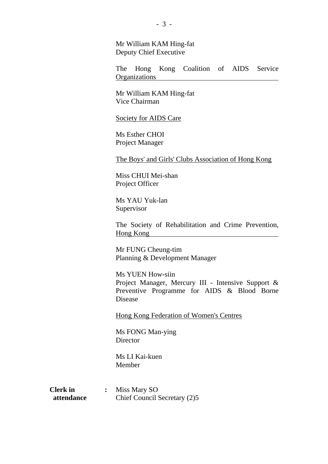Mr William KAM Hing-fat Deputy Chief Executive

The Hong Kong Coalition of AIDS Service **Organizations** 

Mr William KAM Hing-fat Vice Chairman

#### Society for AIDS Care

Ms Esther CHOI Project Manager

The Boys' and Girls' Clubs Association of Hong Kong

Miss CHUI Mei-shan Project Officer

Ms YAU Yuk-lan Supervisor

The Society of Rehabilitation and Crime Prevention, Hong Kong

Mr FUNG Cheung-tim Planning & Development Manager

Ms YUEN How-siin Project Manager, Mercury III - Intensive Support & Preventive Programme for AIDS & Blood Borne Disease

Hong Kong Federation of Women's Centres

Ms FONG Man-ying **Director** 

Ms LI Kai-kuen Member

| <b>Clerk</b> in | Miss Mary SO                 |
|-----------------|------------------------------|
| attendance      | Chief Council Secretary (2)5 |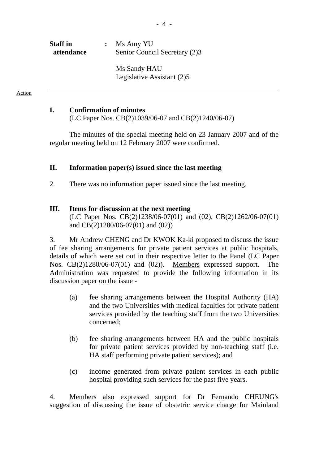| <b>Staff</b> in<br>attendance | $:$ Ms Amy YU<br>Senior Council Secretary (2)3 |
|-------------------------------|------------------------------------------------|
|                               | Ms Sandy HAU<br>Legislative Assistant (2)5     |

#### Action

#### **I. Confirmation of minutes**

(LC Paper Nos. CB(2)1039/06-07 and CB(2)1240/06-07)

The minutes of the special meeting held on 23 January 2007 and of the regular meeting held on 12 February 2007 were confirmed.

#### **II. Information paper(s) issued since the last meeting**

2. There was no information paper issued since the last meeting.

#### **III. Items for discussion at the next meeting**

(LC Paper Nos. CB(2)1238/06-07(01) and (02), CB(2)1262/06-07(01) and CB(2)1280/06-07(01) and (02))

3. Mr Andrew CHENG and Dr KWOK Ka-ki proposed to discuss the issue of fee sharing arrangements for private patient services at public hospitals, details of which were set out in their respective letter to the Panel (LC Paper Nos. CB(2)1280/06-07(01) and (02)). Members expressed support. The Administration was requested to provide the following information in its discussion paper on the issue -

- (a) fee sharing arrangements between the Hospital Authority (HA) and the two Universities with medical faculties for private patient services provided by the teaching staff from the two Universities concerned;
- (b) fee sharing arrangements between HA and the public hospitals for private patient services provided by non-teaching staff (i.e. HA staff performing private patient services); and
- (c) income generated from private patient services in each public hospital providing such services for the past five years.

4. Members also expressed support for Dr Fernando CHEUNG's suggestion of discussing the issue of obstetric service charge for Mainland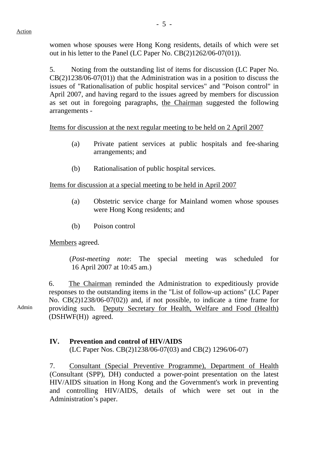women whose spouses were Hong Kong residents, details of which were set out in his letter to the Panel (LC Paper No. CB(2)1262/06-07(01)).

5. Noting from the outstanding list of items for discussion (LC Paper No.  $CB(2)1238/06-07(01)$  that the Administration was in a position to discuss the issues of "Rationalisation of public hospital services" and "Poison control" in April 2007, and having regard to the issues agreed by members for discussion as set out in foregoing paragraphs, the Chairman suggested the following arrangements -

Items for discussion at the next regular meeting to be held on 2 April 2007

- (a) Private patient services at public hospitals and fee-sharing arrangements; and
- (b) Rationalisation of public hospital services.

Items for discussion at a special meeting to be held in April 2007

- (a) Obstetric service charge for Mainland women whose spouses were Hong Kong residents; and
- (b) Poison control

Members agreed.

 (*Post-meeting note*: The special meeting was scheduled for 16 April 2007 at 10:45 am.)

6. The Chairman reminded the Administration to expeditiously provide responses to the outstanding items in the "List of follow-up actions" (LC Paper No. CB(2)1238/06-07(02)) and, if not possible, to indicate a time frame for providing such. Deputy Secretary for Health, Welfare and Food (Health) (DSHWF(H)) agreed.

#### **IV. Prevention and control of HIV/AIDS**

(LC Paper Nos. CB(2)1238/06-07(03) and CB(2) 1296/06-07)

7. Consultant (Special Preventive Programme), Department of Health (Consultant (SPP), DH) conducted a power-point presentation on the latest HIV/AIDS situation in Hong Kong and the Government's work in preventing and controlling HIV/AIDS, details of which were set out in the Administration's paper.

Admin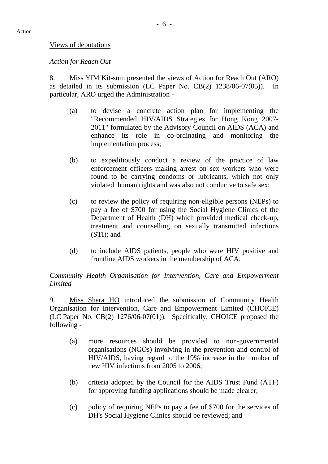#### Views of deputations

#### *Action for Reach Out*

8. Miss YIM Kit-sum presented the views of Action for Reach Out (ARO) as detailed in its submission (LC Paper No. CB(2) 1238/06-07(05)). In particular, ARO urged the Administration -

- (a) to devise a concrete action plan for implementing the "Recommended HIV/AIDS Strategies for Hong Kong 2007- 2011" formulated by the Advisory Council on AIDS (ACA) and enhance its role in co-ordinating and monitoring the implementation process;
- (b) to expeditiously conduct a review of the practice of law enforcement officers making arrest on sex workers who were found to be carrying condoms or lubricants, which not only violated human rights and was also not conducive to safe sex;
- (c) to review the policy of requiring non-eligible persons (NEPs) to pay a fee of \$700 for using the Social Hygiene Clinics of the Department of Health (DH) which provided medical check-up, treatment and counselling on sexually transmitted infections (STI); and
- (d) to include AIDS patients, people who were HIV positive and frontline AIDS workers in the membership of ACA.

#### *Community Health Organisation for Intervention, Care and Empowerment Limited*

9. Miss Shara HO introduced the submission of Community Health Organisation for Intervention, Care and Empowerment Limited (CHOICE) (LC Paper No. CB(2) 1276/06-07(01)). Specifically, CHOICE proposed the following -

- (a) more resources should be provided to non-governmental organisations (NGOs) involving in the prevention and control of HIV/AIDS, having regard to the 19% increase in the number of new HIV infections from 2005 to 2006;
- (b) criteria adopted by the Council for the AIDS Trust Fund (ATF) for approving funding applications should be made clearer;
- (c) policy of requiring NEPs to pay a fee of \$700 for the services of DH's Social Hygiene Clinics should be reviewed; and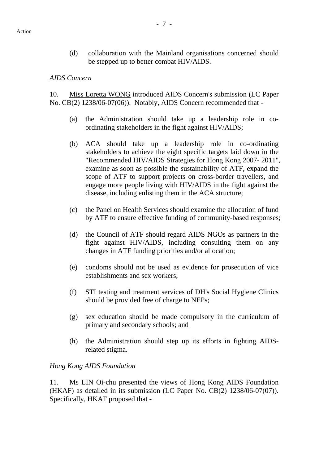(d) collaboration with the Mainland organisations concerned should be stepped up to better combat HIV/AIDS.

#### *AIDS Concern*

10. Miss Loretta WONG introduced AIDS Concern's submission (LC Paper No. CB(2) 1238/06-07(06)). Notably, AIDS Concern recommended that -

- (a) the Administration should take up a leadership role in coordinating stakeholders in the fight against HIV/AIDS;
- (b) ACA should take up a leadership role in co-ordinating stakeholders to achieve the eight specific targets laid down in the "Recommended HIV/AIDS Strategies for Hong Kong 2007- 2011", examine as soon as possible the sustainability of ATF, expand the scope of ATF to support projects on cross-border travellers, and engage more people living with HIV/AIDS in the fight against the disease, including enlisting them in the ACA structure;
- (c) the Panel on Health Services should examine the allocation of fund by ATF to ensure effective funding of community-based responses;
- (d) the Council of ATF should regard AIDS NGOs as partners in the fight against HIV/AIDS, including consulting them on any changes in ATF funding priorities and/or allocation;
- (e) condoms should not be used as evidence for prosecution of vice establishments and sex workers;
- (f) STI testing and treatment services of DH's Social Hygiene Clinics should be provided free of charge to NEPs;
- (g) sex education should be made compulsory in the curriculum of primary and secondary schools; and
- (h) the Administration should step up its efforts in fighting AIDSrelated stigma.

### *Hong Kong AIDS Foundation*

11. Ms LIN Oi-chu presented the views of Hong Kong AIDS Foundation (HKAF) as detailed in its submission (LC Paper No. CB(2) 1238/06-07(07)). Specifically, HKAF proposed that -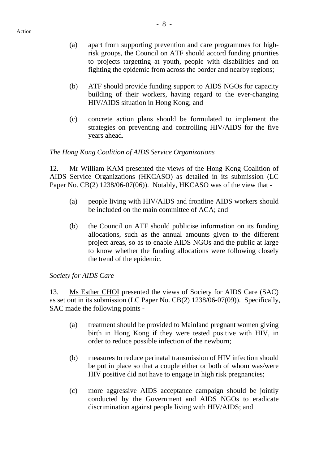- (a) apart from supporting prevention and care programmes for highrisk groups, the Council on ATF should accord funding priorities to projects targetting at youth, people with disabilities and on fighting the epidemic from across the border and nearby regions;
- (b) ATF should provide funding support to AIDS NGOs for capacity building of their workers, having regard to the ever-changing HIV/AIDS situation in Hong Kong; and
- (c) concrete action plans should be formulated to implement the strategies on preventing and controlling HIV/AIDS for the five years ahead.

## *The Hong Kong Coalition of AIDS Service Organizations*

12. Mr William KAM presented the views of the Hong Kong Coalition of AIDS Service Organizations (HKCASO) as detailed in its submission (LC Paper No. CB(2) 1238/06-07(06)). Notably, HKCASO was of the view that -

- (a) people living with HIV/AIDS and frontline AIDS workers should be included on the main committee of ACA; and
- (b) the Council on ATF should publicise information on its funding allocations, such as the annual amounts given to the different project areas, so as to enable AIDS NGOs and the public at large to know whether the funding allocations were following closely the trend of the epidemic.

### *Society for AIDS Care*

13. Ms Esther CHOI presented the views of Society for AIDS Care (SAC) as set out in its submission (LC Paper No. CB(2) 1238/06-07(09)). Specifically, SAC made the following points -

- (a) treatment should be provided to Mainland pregnant women giving birth in Hong Kong if they were tested positive with HIV, in order to reduce possible infection of the newborn;
- (b) measures to reduce perinatal transmission of HIV infection should be put in place so that a couple either or both of whom was/were HIV positive did not have to engage in high risk pregnancies;
- (c) more aggressive AIDS acceptance campaign should be jointly conducted by the Government and AIDS NGOs to eradicate discrimination against people living with HIV/AIDS; and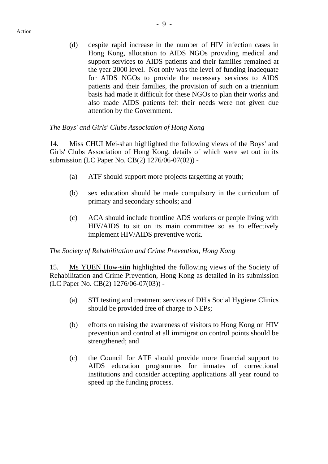(d) despite rapid increase in the number of HIV infection cases in Hong Kong, allocation to AIDS NGOs providing medical and support services to AIDS patients and their families remained at the year 2000 level. Not only was the level of funding inadequate for AIDS NGOs to provide the necessary services to AIDS patients and their families, the provision of such on a triennium basis had made it difficult for these NGOs to plan their works and also made AIDS patients felt their needs were not given due attention by the Government.

#### *The Boys' and Girls' Clubs Association of Hong Kong*

14. Miss CHUI Mei-shan highlighted the following views of the Boys' and Girls' Clubs Association of Hong Kong, details of which were set out in its submission (LC Paper No. CB(2) 1276/06-07(02)) -

- (a) ATF should support more projects targetting at youth;
- (b) sex education should be made compulsory in the curriculum of primary and secondary schools; and
- (c) ACA should include frontline ADS workers or people living with HIV/AIDS to sit on its main committee so as to effectively implement HIV/AIDS preventive work.

### *The Society of Rehabilitation and Crime Prevention, Hong Kong*

15. Ms YUEN How-siin highlighted the following views of the Society of Rehabilitation and Crime Prevention, Hong Kong as detailed in its submission (LC Paper No. CB(2) 1276/06-07(03)) -

- (a) STI testing and treatment services of DH's Social Hygiene Clinics should be provided free of charge to NEPs;
- (b) efforts on raising the awareness of visitors to Hong Kong on HIV prevention and control at all immigration control points should be strengthened; and
- (c) the Council for ATF should provide more financial support to AIDS education programmes for inmates of correctional institutions and consider accepting applications all year round to speed up the funding process.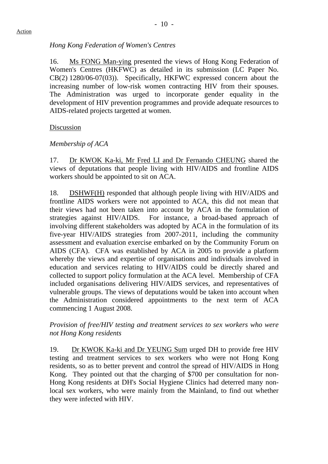## *Hong Kong Federation of Women's Centres*

16. Ms FONG Man-ying presented the views of Hong Kong Federation of Women's Centres (HKFWC) as detailed in its submission (LC Paper No. CB(2) 1280/06-07(03)). Specifically, HKFWC expressed concern about the increasing number of low-risk women contracting HIV from their spouses. The Administration was urged to incorporate gender equality in the development of HIV prevention programmes and provide adequate resources to AIDS-related projects targetted at women.

### Discussion

### *Membership of ACA*

17. Dr KWOK Ka-ki, Mr Fred LI and Dr Fernando CHEUNG shared the views of deputations that people living with HIV/AIDS and frontline AIDS workers should be appointed to sit on ACA.

18. DSHWF(H) responded that although people living with HIV/AIDS and frontline AIDS workers were not appointed to ACA, this did not mean that their views had not been taken into account by ACA in the formulation of strategies against HIV/AIDS. For instance, a broad-based approach of involving different stakeholders was adopted by ACA in the formulation of its five-year HIV/AIDS strategies from 2007-2011, including the community assessment and evaluation exercise embarked on by the Community Forum on AIDS (CFA). CFA was established by ACA in 2005 to provide a platform whereby the views and expertise of organisations and individuals involved in education and services relating to HIV/AIDS could be directly shared and collected to support policy formulation at the ACA level. Membership of CFA included organisations delivering HIV/AIDS services, and representatives of vulnerable groups. The views of deputations would be taken into account when the Administration considered appointments to the next term of ACA commencing 1 August 2008.

*Provision of free/HIV testing and treatment services to sex workers who were not Hong Kong residents* 

19. Dr KWOK Ka-ki and Dr YEUNG Sum urged DH to provide free HIV testing and treatment services to sex workers who were not Hong Kong residents, so as to better prevent and control the spread of HIV/AIDS in Hong Kong. They pointed out that the charging of \$700 per consultation for non-Hong Kong residents at DH's Social Hygiene Clinics had deterred many nonlocal sex workers, who were mainly from the Mainland, to find out whether they were infected with HIV.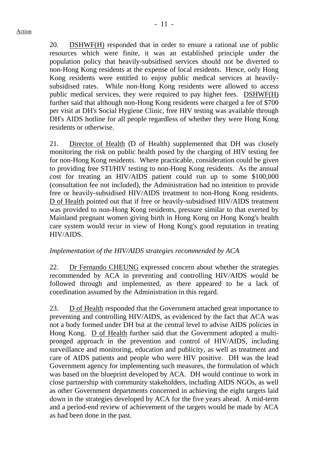20. DSHWF(H) responded that in order to ensure a rational use of public resources which were finite, it was an established principle under the population policy that heavily-subsidised services should not be diverted to non-Hong Kong residents at the expense of local residents. Hence, only Hong Kong residents were entitled to enjoy public medical services at heavilysubsidised rates. While non-Hong Kong residents were allowed to access public medical services, they were required to pay higher fees. DSHWF(H) further said that although non-Hong Kong residents were charged a fee of \$700 per visit at DH's Social Hygiene Clinic, free HIV testing was available through DH's AIDS hotline for all people regardless of whether they were Hong Kong residents or otherwise.

21. Director of Health (D of Health) supplemented that DH was closely monitoring the risk on public health posed by the charging of HIV testing fee for non-Hong Kong residents. Where practicable, consideration could be given to providing free STI/HIV testing to non-Hong Kong residents. As the annual cost for treating an HIV/AIDS patient could run up to some \$100,000 (consultation fee not included), the Administration had no intention to provide free or heavily-subsidised HIV/AIDS treatment to non-Hong Kong residents. D of Health pointed out that if free or heavily-subsidised HIV/AIDS treatment was provided to non-Hong Kong residents, pressure similar to that exerted by Mainland pregnant women giving birth in Hong Kong on Hong Kong's health care system would recur in view of Hong Kong's good reputation in treating HIV/AIDS.

### *Implementation of the HIV/AIDS strategies recommended by ACA*

22. Dr Fernando CHEUNG expressed concern about whether the strategies recommended by ACA in preventing and controlling HIV/AIDS would be followed through and implemented, as there appeared to be a lack of coordination assumed by the Administration in this regard.

23. D of Health responded that the Government attached great importance to preventing and controlling HIV/AIDS, as evidenced by the fact that ACA was not a body formed under DH but at the central level to advise AIDS policies in Hong Kong. D of Health further said that the Government adopted a multipronged approach in the prevention and control of HIV/AIDS, including surveillance and monitoring, education and publicity, as well as treatment and care of AIDS patients and people who were HIV positive. DH was the lead Government agency for implementing such measures, the formulation of which was based on the blueprint developed by ACA. DH would continue to work in close partnership with community stakeholders, including AIDS NGOs, as well as other Government departments concerned in achieving the eight targets laid down in the strategies developed by ACA for the five years ahead. A mid-term and a period-end review of achievement of the targets would be made by ACA as had been done in the past.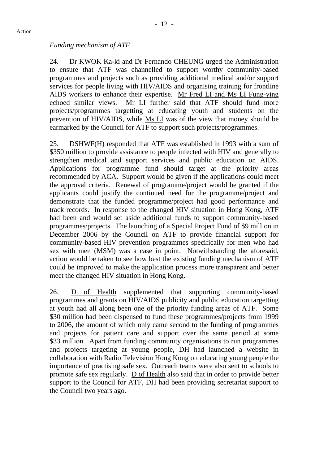### *Funding mechanism of ATF*

24. Dr KWOK Ka-ki and Dr Fernando CHEUNG urged the Administration to ensure that ATF was channelled to support worthy community-based programmes and projects such as providing additional medical and/or support services for people living with HIV/AIDS and organising training for frontline AIDS workers to enhance their expertise. Mr Fred LI and Ms LI Fung-ying echoed similar views. Mr LI further said that ATF should fund more projects/programmes targetting at educating youth and students on the prevention of HIV/AIDS, while Ms LI was of the view that money should be earmarked by the Council for ATF to support such projects/programmes.

25. DSHWF(H) responded that ATF was established in 1993 with a sum of \$350 million to provide assistance to people infected with HIV and generally to strengthen medical and support services and public education on AIDS. Applications for programme fund should target at the priority areas recommended by ACA. Support would be given if the applications could meet the approval criteria. Renewal of programme/project would be granted if the applicants could justify the continued need for the programme/project and demonstrate that the funded programme/project had good performance and track records. In response to the changed HIV situation in Hong Kong, ATF had been and would set aside additional funds to support community-based programmes/projects. The launching of a Special Project Fund of \$9 million in December 2006 by the Council on ATF to provide financial support for community-based HIV prevention programmes specifically for men who had sex with men (MSM) was a case in point. Notwithstanding the aforesaid, action would be taken to see how best the existing funding mechanism of ATF could be improved to make the application process more transparent and better meet the changed HIV situation in Hong Kong.

26. D of Health supplemented that supporting community-based programmes and grants on HIV/AIDS publicity and public education targetting at youth had all along been one of the priority funding areas of ATF. Some \$30 million had been dispensed to fund these programmes/projects from 1999 to 2006, the amount of which only came second to the funding of programmes and projects for patient care and support over the same period at some \$33 million. Apart from funding community organisations to run programmes and projects targeting at young people, DH had launched a website in collaboration with Radio Television Hong Kong on educating young people the importance of practising safe sex. Outreach teams were also sent to schools to promote safe sex regularly. D of Health also said that in order to provide better support to the Council for ATF, DH had been providing secretariat support to the Council two years ago.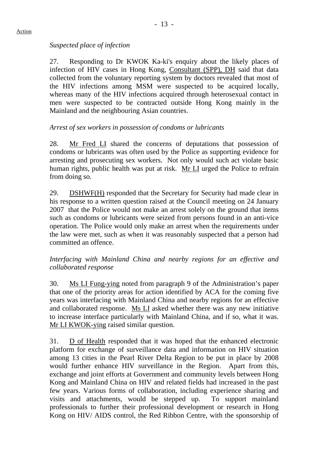## *Suspected place of infection*

27. Responding to Dr KWOK Ka-ki's enquiry about the likely places of infection of HIV cases in Hong Kong, Consultant (SPP), DH said that data collected from the voluntary reporting system by doctors revealed that most of the HIV infections among MSM were suspected to be acquired locally, whereas many of the HIV infections acquired through heterosexual contact in men were suspected to be contracted outside Hong Kong mainly in the Mainland and the neighbouring Asian countries.

# *Arrest of sex workers in possession of condoms or lubricants*

28. Mr Fred LI shared the concerns of deputations that possession of condoms or lubricants was often used by the Police as supporting evidence for arresting and prosecuting sex workers. Not only would such act violate basic human rights, public health was put at risk. Mr LI urged the Police to refrain from doing so.

29. DSHWF(H) responded that the Secretary for Security had made clear in his response to a written question raised at the Council meeting on 24 January 2007 that the Police would not make an arrest solely on the ground that items such as condoms or lubricants were seized from persons found in an anti-vice operation. The Police would only make an arrest when the requirements under the law were met, such as when it was reasonably suspected that a person had committed an offence.

## *Interfacing with Mainland China and nearby regions for an effective and collaborated response*

30. Ms LI Fung-ying noted from paragraph 9 of the Administration's paper that one of the priority areas for action identified by ACA for the coming five years was interfacing with Mainland China and nearby regions for an effective and collaborated response. Ms LI asked whether there was any new initiative to increase interface particularly with Mainland China, and if so, what it was. Mr LI KWOK-ying raised similar question.

31. D of Health responded that it was hoped that the enhanced electronic platform for exchange of surveillance data and information on HIV situation among 13 cities in the Pearl River Delta Region to be put in place by 2008 would further enhance HIV surveillance in the Region. Apart from this, exchange and joint efforts at Government and community levels between Hong Kong and Mainland China on HIV and related fields had increased in the past few years. Various forms of collaboration, including experience sharing and visits and attachments, would be stepped up. To support mainland professionals to further their professional development or research in Hong Kong on HIV/ AIDS control, the Red Ribbon Centre, with the sponsorship of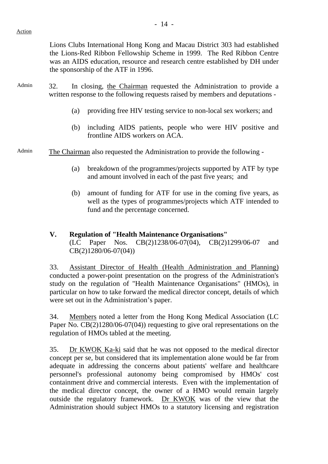Lions Clubs International Hong Kong and Macau District 303 had established the Lions-Red Ribbon Fellowship Scheme in 1999. The Red Ribbon Centre was an AIDS education, resource and research centre established by DH under the sponsorship of the ATF in 1996.

- Admin 32. In closing, the Chairman requested the Administration to provide a written response to the following requests raised by members and deputations -
	- (a) providing free HIV testing service to non-local sex workers; and
	- (b) including AIDS patients, people who were HIV positive and frontline AIDS workers on ACA.
- Admin The Chairman also requested the Administration to provide the following
	- (a) breakdown of the programmes/projects supported by ATF by type and amount involved in each of the past five years; and
	- (b) amount of funding for ATF for use in the coming five years, as well as the types of programmes/projects which ATF intended to fund and the percentage concerned.
	- **V. Regulation of "Health Maintenance Organisations"**  (LC Paper Nos. CB(2)1238/06-07(04), CB(2)1299/06-07 and CB(2)1280/06-07(04))

33. Assistant Director of Health (Health Administration and Planning) conducted a power-point presentation on the progress of the Administration's study on the regulation of "Health Maintenance Organisations" (HMOs), in particular on how to take forward the medical director concept, details of which were set out in the Administration's paper.

34. Members noted a letter from the Hong Kong Medical Association (LC Paper No. CB(2)1280/06-07(04)) requesting to give oral representations on the regulation of HMOs tabled at the meeting.

35. Dr KWOK Ka-ki said that he was not opposed to the medical director concept per se, but considered that its implementation alone would be far from adequate in addressing the concerns about patients' welfare and healthcare personnel's professional autonomy being compromised by HMOs' cost containment drive and commercial interests. Even with the implementation of the medical director concept, the owner of a HMO would remain largely outside the regulatory framework. Dr KWOK was of the view that the Administration should subject HMOs to a statutory licensing and registration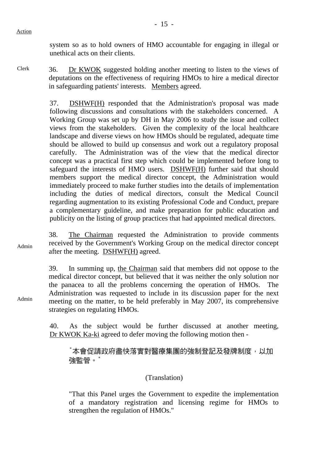Action

system so as to hold owners of HMO accountable for engaging in illegal or unethical acts on their clients.

Clerk 36. Dr KWOK suggested holding another meeting to listen to the views of deputations on the effectiveness of requiring HMOs to hire a medical director in safeguarding patients' interests. Members agreed.

> 37. DSHWF(H) responded that the Administration's proposal was made following discussions and consultations with the stakeholders concerned. A Working Group was set up by DH in May 2006 to study the issue and collect views from the stakeholders. Given the complexity of the local healthcare landscape and diverse views on how HMOs should be regulated, adequate time should be allowed to build up consensus and work out a regulatory proposal carefully. The Administration was of the view that the medical director concept was a practical first step which could be implemented before long to safeguard the interests of HMO users. DSHWF(H) further said that should members support the medical director concept, the Administration would immediately proceed to make further studies into the details of implementation including the duties of medical directors, consult the Medical Council regarding augmentation to its existing Professional Code and Conduct, prepare a complementary guideline, and make preparation for public education and publicity on the listing of group practices that had appointed medical directors.

Admin 38. The Chairman requested the Administration to provide comments received by the Government's Working Group on the medical director concept after the meeting. DSHWF(H) agreed.

> 39. In summing up, the Chairman said that members did not oppose to the medical director concept, but believed that it was neither the only solution nor the panacea to all the problems concerning the operation of HMOs. The Administration was requested to include in its discussion paper for the next meeting on the matter, to be held preferably in May 2007, its comprehensive strategies on regulating HMOs.

> 40. As the subject would be further discussed at another meeting, Dr KWOK Ka-ki agreed to defer moving the following motion then -

"本會促請政府盡快落實對醫療集團的強制登記及發牌制度,以加 強監管。"

(Translation)

"That this Panel urges the Government to expedite the implementation of a mandatory registration and licensing regime for HMOs to strengthen the regulation of HMOs."

Admin